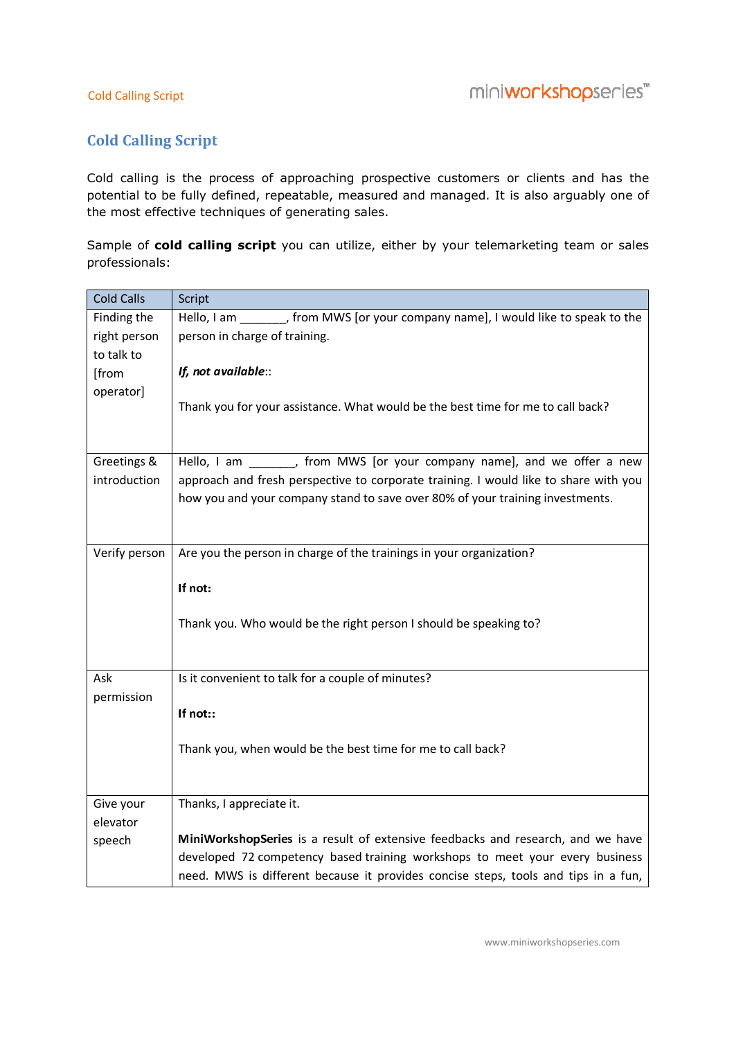## Cold Calling Script

## Cold Calling Script

Cold calling is the process of approaching prospective customers or clients and has the Cold calling is the potential to be fully defined, repeatable, measured and managed. It is also arguably one of the most effective techniques of generating sales.

|                                                                                                             | Cold calling is the process of approaching prospective customers or clients and has the<br>potential to be fully defined, repeatable, measured and managed. It is also arguably one of |  |
|-------------------------------------------------------------------------------------------------------------|----------------------------------------------------------------------------------------------------------------------------------------------------------------------------------------|--|
|                                                                                                             | the most effective techniques of generating sales.                                                                                                                                     |  |
| Sample of cold calling script you can utilize, either by your telemarketing team or sales<br>professionals: |                                                                                                                                                                                        |  |
| <b>Cold Calls</b>                                                                                           | Script                                                                                                                                                                                 |  |
| Finding the                                                                                                 | Hello, I am ________, from MWS [or your company name], I would like to speak to the                                                                                                    |  |
| right person                                                                                                | person in charge of training.                                                                                                                                                          |  |
| to talk to                                                                                                  |                                                                                                                                                                                        |  |
| [from                                                                                                       | If, not available::                                                                                                                                                                    |  |
| operator]                                                                                                   |                                                                                                                                                                                        |  |
|                                                                                                             | Thank you for your assistance. What would be the best time for me to call back?                                                                                                        |  |
|                                                                                                             |                                                                                                                                                                                        |  |
| Greetings &                                                                                                 | Hello, I am ________, from MWS [or your company name], and we offer a new                                                                                                              |  |
| introduction                                                                                                | approach and fresh perspective to corporate training. I would like to share with you                                                                                                   |  |
|                                                                                                             | how you and your company stand to save over 80% of your training investments.                                                                                                          |  |
|                                                                                                             |                                                                                                                                                                                        |  |
|                                                                                                             |                                                                                                                                                                                        |  |
| Verify person                                                                                               | Are you the person in charge of the trainings in your organization?                                                                                                                    |  |
|                                                                                                             | If not:                                                                                                                                                                                |  |
|                                                                                                             |                                                                                                                                                                                        |  |
|                                                                                                             | Thank you. Who would be the right person I should be speaking to?                                                                                                                      |  |
|                                                                                                             |                                                                                                                                                                                        |  |
| Ask                                                                                                         | Is it convenient to talk for a couple of minutes?                                                                                                                                      |  |
| permission                                                                                                  |                                                                                                                                                                                        |  |
|                                                                                                             | If not::                                                                                                                                                                               |  |
|                                                                                                             | Thank you, when would be the best time for me to call back?                                                                                                                            |  |
|                                                                                                             |                                                                                                                                                                                        |  |
| Give your<br>elevator                                                                                       | Thanks, I appreciate it.                                                                                                                                                               |  |
| speech                                                                                                      | MiniWorkshopSeries is a result of extensive feedbacks and research, and we have                                                                                                        |  |
|                                                                                                             | developed 72 competency based training workshops to meet your every business                                                                                                           |  |
|                                                                                                             | need. MWS is different because it provides concise steps, tools and tips in a fun,                                                                                                     |  |